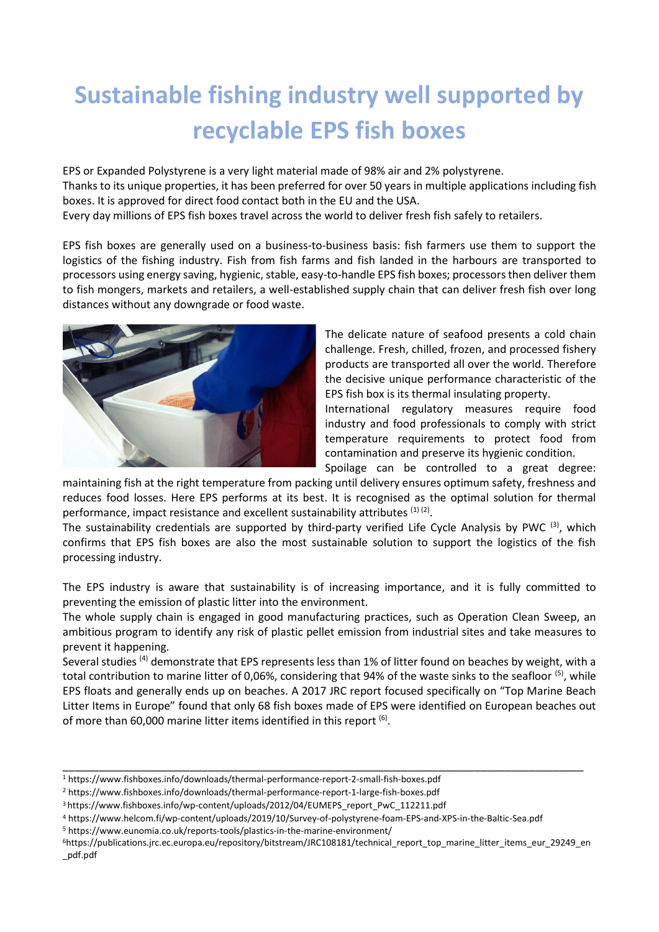## **Sustainable fishing industry well supported by recyclable EPS fish boxes**

EPS or Expanded Polystyrene is a very light material made of 98% air and 2% polystyrene. Thanks to its unique properties, it has been preferred for over 50 years in multiple applications including fish boxes. It is approved for direct food contact both in the EU and the USA. Every day millions of EPS fish boxes travel across the world to deliver fresh fish safely to retailers.

EPS fish boxes are generally used on a business-to-business basis: fish farmers use them to support the logistics of the fishing industry. Fish from fish farms and fish landed in the harbours are transported to processors using energy saving, hygienic, stable, easy-to-handle EPS fish boxes; processors then deliver them to fish mongers, markets and retailers, a well-established supply chain that can deliver fresh fish over long distances without any downgrade or food waste.



The delicate nature of seafood presents a cold chain challenge. Fresh, chilled, frozen, and processed fishery products are transported all over the world. Therefore the decisive unique performance characteristic of the EPS fish box is its thermal insulating property.

International regulatory measures require food industry and food professionals to comply with strict temperature requirements to protect food from contamination and preserve its hygienic condition.

Spoilage can be controlled to a great degree: maintaining fish at the right temperature from packing until delivery ensures optimum safety, freshness and reduces food losses. Here EPS performs at its best. It is recognised as the optimal solution for thermal performance, impact resistance and excellent sustainability attributes  $(1)$   $(2)$ .

The sustainability credentials are supported by third-party verified Life Cycle Analysis by PWC (3), which confirms that EPS fish boxes are also the most sustainable solution to support the logistics of the fish processing industry.

The EPS industry is aware that sustainability is of increasing importance, and it is fully committed to preventing the emission of plastic litter into the environment.

The whole supply chain is engaged in good manufacturing practices, such as Operation Clean Sweep, an ambitious program to identify any risk of plastic pellet emission from industrial sites and take measures to prevent it happening.

Several studies <sup>(4)</sup> demonstrate that EPS represents less than 1% of litter found on beaches by weight, with a total contribution to marine litter of 0,06%, considering that 94% of the waste sinks to the seafloor <sup>(5)</sup>, while EPS floats and generally ends up on beaches. A 2017 JRC report focused specifically on "Top Marine Beach Litter Items in Europe" found that only 68 fish boxes made of EPS were identified on European beaches out of more than 60,000 marine litter items identified in this report  $^{(6)}$ .

\_\_\_\_\_\_\_\_\_\_\_\_\_\_\_\_\_\_\_\_\_\_\_\_\_\_\_\_\_\_\_\_\_\_\_\_\_\_\_\_\_\_\_\_\_\_\_\_\_\_\_\_\_\_\_\_\_\_\_\_\_\_\_\_\_\_\_\_\_\_\_\_\_\_\_\_\_\_\_\_\_\_\_\_\_\_

<sup>1</sup> <https://www.fishboxes.info/downloads/thermal-performance-report-2-small-fish-boxes.pdf>

<sup>2</sup> <https://www.fishboxes.info/downloads/thermal-performance-report-1-large-fish-boxes.pdf>

<sup>&</sup>lt;sup>3</sup> [https://www.fishboxes.info/wp-content/uploads/2012/04/EUMEPS\\_report\\_PwC\\_112211.pdf](https://www.fishboxes.info/wp-content/uploads/2012/04/EUMEPS_report_PwC_112211.pdf)

<sup>4</sup> <https://www.helcom.fi/wp-content/uploads/2019/10/Survey-of-polystyrene-foam-EPS-and-XPS-in-the-Baltic-Sea.pdf>

<sup>5</sup> <https://www.eunomia.co.uk/reports-tools/plastics-in-the-marine-environment/>

<sup>&</sup>lt;sup>6</sup>[https://publications.jrc.ec.europa.eu/repository/bitstream/JRC108181/technical\\_report\\_top\\_marine\\_litter\\_items\\_eur\\_29249\\_en](https://publications.jrc.ec.europa.eu/repository/bitstream/JRC108181/technical_report_top_marine_litter_items_eur_29249_en_pdf.pdf) [\\_pdf.pdf](https://publications.jrc.ec.europa.eu/repository/bitstream/JRC108181/technical_report_top_marine_litter_items_eur_29249_en_pdf.pdf)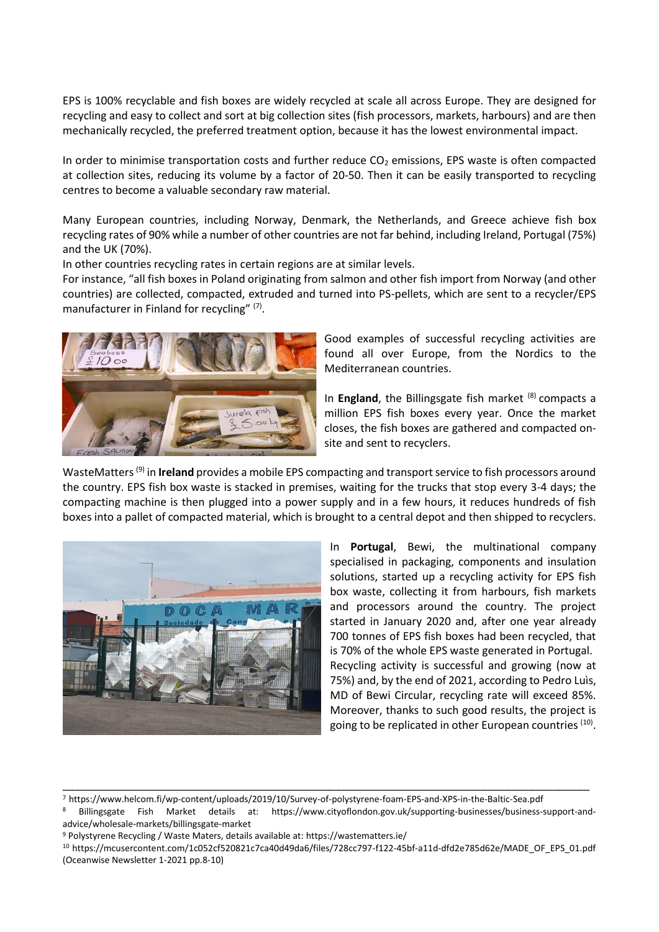EPS is 100% recyclable and fish boxes are widely recycled at scale all across Europe. They are designed for recycling and easy to collect and sort at big collection sites (fish processors, markets, harbours) and are then mechanically recycled, the preferred treatment option, because it has the lowest environmental impact.

In order to minimise transportation costs and further reduce  $CO<sub>2</sub>$  emissions, EPS waste is often compacted at collection sites, reducing its volume by a factor of 20-50. Then it can be easily transported to recycling centres to become a valuable secondary raw material.

Many European countries, including Norway, Denmark, the Netherlands, and Greece achieve fish box recycling rates of 90% while a number of other countries are not far behind, including Ireland, Portugal (75%) and the UK (70%).

In other countries recycling rates in certain regions are at similar levels.

For instance, "all fish boxes in Poland originating from salmon and other fish import from Norway (and other countries) are collected, compacted, extruded and turned into PS-pellets, which are sent to a recycler/EPS manufacturer in Finland for recycling" (7).



Good examples of successful recycling activities are found all over Europe, from the Nordics to the Mediterranean countries.

In **England**, the Billingsgate fish market <sup>(8)</sup> compacts a million EPS fish boxes every year. Once the market closes, the fish boxes are gathered and compacted onsite and sent to recyclers.

WasteMatters (9) in **Ireland** provides a mobile EPS compacting and transport service to fish processors around the country. EPS fish box waste is stacked in premises, waiting for the trucks that stop every 3-4 days; the compacting machine is then plugged into a power supply and in a few hours, it reduces hundreds of fish boxes into a pallet of compacted material, which is brought to a central depot and then shipped to recyclers.



In **Portugal**, Bewi, the multinational company specialised in packaging, components and insulation solutions, started up a recycling activity for EPS fish box waste, collecting it from harbours, fish markets and processors around the country. The project started in January 2020 and, after one year already 700 tonnes of EPS fish boxes had been recycled, that is 70% of the whole EPS waste generated in Portugal. Recycling activity is successful and growing (now at 75%) and, by the end of 2021, according to Pedro Luìs, MD of Bewi Circular, recycling rate will exceed 85%. Moreover, thanks to such good results, the project is going to be replicated in other European countries (10).

\_\_\_\_\_\_\_\_\_\_\_\_\_\_\_\_\_\_\_\_\_\_\_\_\_\_\_\_\_\_\_\_\_\_\_\_\_\_\_\_\_\_\_\_\_\_\_\_\_\_\_\_\_\_\_\_\_\_\_\_\_\_\_\_\_\_\_\_\_\_\_\_\_\_\_\_\_\_\_\_\_\_\_\_\_\_\_

<sup>7</sup> https://www.helcom.fi/wp-content/uploads/2019/10/Survey-of-polystyrene-foam-EPS-and-XPS-in-the-Baltic-Sea.pdf

<sup>8</sup> Billingsgate Fish Market details at: [https://www.cityoflondon.gov.uk/supporting-businesses/business-support-and](https://www.cityoflondon.gov.uk/supporting-businesses/business-support-and-advice/wholesale-markets/billingsgate-market)[advice/wholesale-markets/billingsgate-market](https://www.cityoflondon.gov.uk/supporting-businesses/business-support-and-advice/wholesale-markets/billingsgate-market)

<sup>9</sup> Polystyrene Recycling / Waste Maters, details available at[: https://wastematters.ie/](https://wastematters.ie/)

<sup>10</sup> [https://mcusercontent.com/1c052cf520821c7ca40d49da6/files/728cc797-f122-45bf-a11d-dfd2e785d62e/MADE\\_OF\\_EPS\\_01.pdf](https://mcusercontent.com/1c052cf520821c7ca40d49da6/files/728cc797-f122-45bf-a11d-dfd2e785d62e/MADE_OF_EPS_01.pdf) (Oceanwise Newsletter 1-2021 pp.8-10)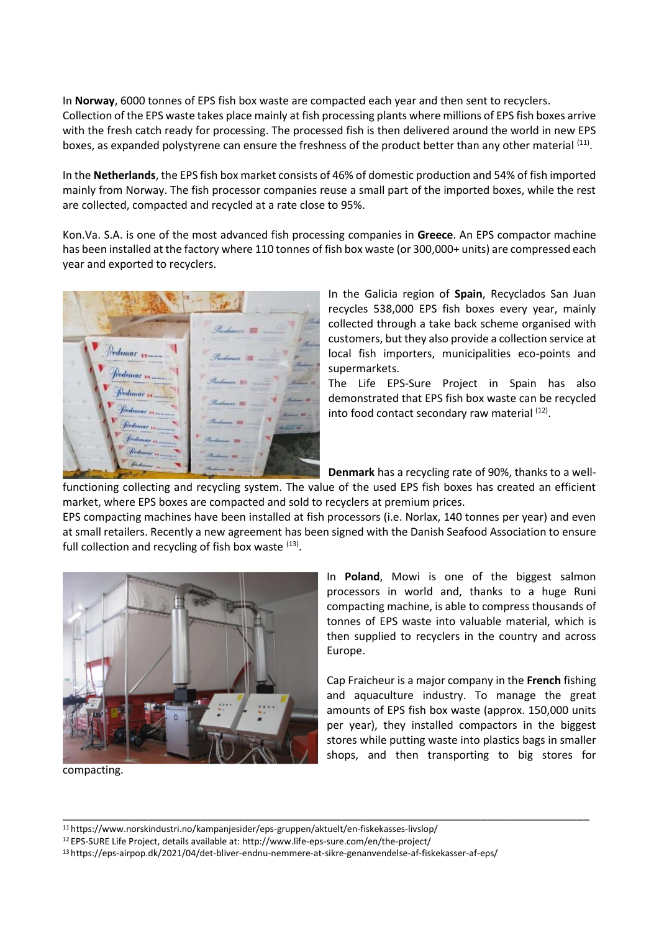In **Norway**, 6000 tonnes of EPS fish box waste are compacted each year and then sent to recyclers. Collection of the EPS waste takes place mainly at fish processing plants where millions of EPS fish boxes arrive with the fresh catch ready for processing. The processed fish is then delivered around the world in new EPS boxes, as expanded polystyrene can ensure the freshness of the product better than any other material <sup>(11)</sup>.

In the **Netherlands**, the EPS fish box market consists of 46% of domestic production and 54% of fish imported mainly from Norway. The fish processor companies reuse a small part of the imported boxes, while the rest are collected, compacted and recycled at a rate close to 95%.

Kon.Va. S.A. is one of the most advanced fish processing companies in **Greece**. An EPS compactor machine has been installed at the factory where 110 tonnes of fish box waste (or 300,000+ units) are compressed each year and exported to recyclers.



In the Galicia region of **Spain**, Recyclados San Juan recycles 538,000 EPS fish boxes every year, mainly collected through a take back scheme organised with customers, but they also provide a collection service at local fish importers, municipalities eco-points and supermarkets.

The Life EPS-Sure Project in Spain has also demonstrated that EPS fish box waste can be recycled into food contact secondary raw material <sup>(12)</sup>.

**Denmark** has a recycling rate of 90%, thanks to a well-

functioning collecting and recycling system. The value of the used EPS fish boxes has created an efficient market, where EPS boxes are compacted and sold to recyclers at premium prices.

EPS compacting machines have been installed at fish processors (i.e. Norlax, 140 tonnes per year) and even at small retailers. Recently a new agreement has been signed with the Danish Seafood Association to ensure full collection and recycling of fish box waste (13).



In **Poland**, Mowi is one of the biggest salmon processors in world and, thanks to a huge Runi compacting machine, is able to compress thousands of tonnes of EPS waste into valuable material, which is then supplied to recyclers in the country and across Europe.

Cap Fraicheur is a major company in the **French** fishing and aquaculture industry. To manage the great amounts of EPS fish box waste (approx. 150,000 units per year), they installed compactors in the biggest stores while putting waste into plastics bags in smaller shops, and then transporting to big stores for

compacting.

\_\_\_\_\_\_\_\_\_\_\_\_\_\_\_\_\_\_\_\_\_\_\_\_\_\_\_\_\_\_\_\_\_\_\_\_\_\_\_\_\_\_\_\_\_\_\_\_\_\_\_\_\_\_\_\_\_\_\_\_\_\_\_\_\_\_\_\_\_\_\_\_\_\_\_\_\_\_\_\_\_\_\_\_\_\_\_

<sup>11</sup><https://www.norskindustri.no/kampanjesider/eps-gruppen/aktuelt/en-fiskekasses-livslop/>

<sup>12</sup>EPS-SURE Life Project, details available at:<http://www.life-eps-sure.com/en/the-project/>

<sup>13</sup> https://eps-airpop.dk/2021/04/det-bliver-endnu-nemmere-at-sikre-genanvendelse-af-fiskekasser-af-eps/